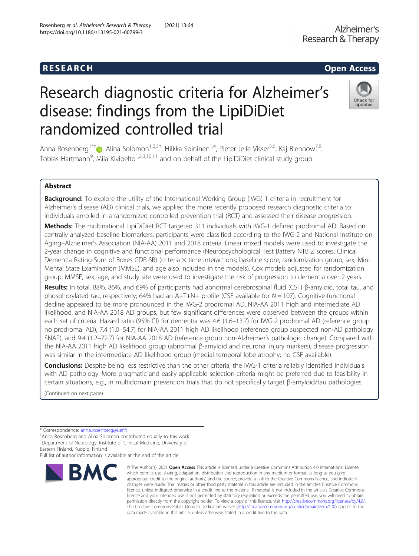# R E S EAR CH Open Access

https://doi.org/10.1186/s13195-021-00799-3

# Research diagnostic criteria for Alzheimer's disease: findings from the LipiDiDiet randomized controlled trial

Anna Rosenberg<sup>1\*†</sup> D[,](http://orcid.org/0000-0003-1456-7991) Alina Solomon<sup>1,2,3†</sup>, Hilkka Soininen<sup>1,4</sup>, Pieter Jelle Visser<sup>5,6</sup>, Kaj Blennow<sup>7,8</sup>, Tobias Hartmann<sup>9</sup>, Miia Kivipelto<sup>1,2,3,10,11</sup> and on behalf of the LipiDiDiet clinical study group

# Abstract

**Background:** To explore the utility of the International Working Group (IWG)-1 criteria in recruitment for Alzheimer's disease (AD) clinical trials, we applied the more recently proposed research diagnostic criteria to individuals enrolled in a randomized controlled prevention trial (RCT) and assessed their disease progression.

Methods: The multinational LipiDiDiet RCT targeted 311 individuals with IWG-1 defined prodromal AD. Based on centrally analyzed baseline biomarkers, participants were classified according to the IWG-2 and National Institute on Aging–Alzheimer's Association (NIA-AA) 2011 and 2018 criteria. Linear mixed models were used to investigate the 2-year change in cognitive and functional performance (Neuropsychological Test Battery NTB Z scores, Clinical Dementia Rating-Sum of Boxes CDR-SB) (criteria x time interactions; baseline score, randomization group, sex, Mini-Mental State Examination (MMSE), and age also included in the models). Cox models adjusted for randomization group, MMSE, sex, age, and study site were used to investigate the risk of progression to dementia over 2 years.

Results: In total, 88%, 86%, and 69% of participants had abnormal cerebrospinal fluid (CSF) β-amyloid, total tau, and phosphorylated tau, respectively; 64% had an A+T+N+ profile (CSF available for  $N = 107$ ). Cognitive-functional decline appeared to be more pronounced in the IWG-2 prodromal AD, NIA-AA 2011 high and intermediate AD likelihood, and NIA-AA 2018 AD groups, but few significant differences were observed between the groups within each set of criteria. Hazard ratio (95% CI) for dementia was 4.6 (1.6–13.7) for IWG-2 prodromal AD (reference group no prodromal AD), 7.4 (1.0–54.7) for NIA-AA 2011 high AD likelihood (reference group suspected non-AD pathology SNAP), and 9.4 (1.2–72.7) for NIA-AA 2018 AD (reference group non-Alzheimer's pathologic change). Compared with the NIA-AA 2011 high AD likelihood group (abnormal β-amyloid and neuronal injury markers), disease progression was similar in the intermediate AD likelihood group (medial temporal lobe atrophy; no CSF available).

Conclusions: Despite being less restrictive than the other criteria, the IWG-1 criteria reliably identified individuals with AD pathology. More pragmatic and easily applicable selection criteria might be preferred due to feasibility in certain situations, e.g., in multidomain prevention trials that do not specifically target β-amyloid/tau pathologies.

(Continued on next page)

**RMC** 

Full list of author information is available at the end of the article

#### © The Author(s), 2021 **Open Access** This article is licensed under a Creative Commons Attribution 4.0 International License, which permits use, sharing, adaptation, distribution and reproduction in any medium or format, as long as you give appropriate credit to the original author(s) and the source, provide a link to the Creative Commons licence, and indicate if changes were made. The images or other third party material in this article are included in the article's Creative Commons licence, unless indicated otherwise in a credit line to the material. If material is not included in the article's Creative Commons licence and your intended use is not permitted by statutory regulation or exceeds the permitted use, you will need to obtain permission directly from the copyright holder. To view a copy of this licence, visit [http://creativecommons.org/licenses/by/4.0/.](http://creativecommons.org/licenses/by/4.0/) The Creative Commons Public Domain Dedication waiver [\(http://creativecommons.org/publicdomain/zero/1.0/](http://creativecommons.org/publicdomain/zero/1.0/)) applies to the data made available in this article, unless otherwise stated in a credit line to the data.





<sup>\*</sup> Correspondence: [anna.rosenberg@uef.fi](mailto:anna.rosenberg@uef.fi) †

Anna Rosenberg and Alina Solomon contributed equally to this work. <sup>1</sup>Department of Neurology, Institute of Clinical Medicine, University of Eastern Finland, Kuopio, Finland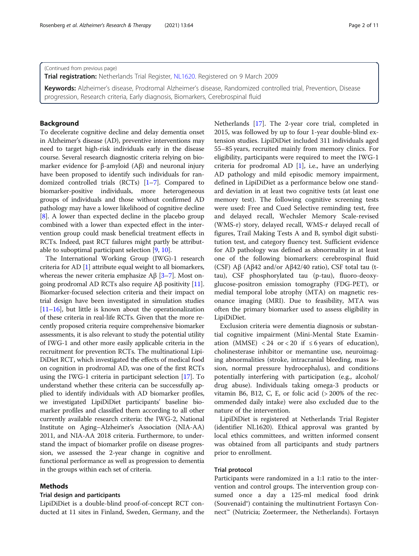(Continued from previous page)

Trial registration: Netherlands Trial Register, [NL1620](https://www.trialregister.nl/trial/1620). Registered on 9 March 2009

Keywords: Alzheimer's disease, Prodromal Alzheimer's disease, Randomized controlled trial, Prevention, Disease progression, Research criteria, Early diagnosis, Biomarkers, Cerebrospinal fluid

# Background

To decelerate cognitive decline and delay dementia onset in Alzheimer's disease (AD), preventive interventions may need to target high-risk individuals early in the disease course. Several research diagnostic criteria relying on biomarker evidence for β-amyloid  $(Aβ)$  and neuronal injury have been proposed to identify such individuals for randomized controlled trials (RCTs) [\[1](#page-9-0)–[7\]](#page-10-0). Compared to biomarker-positive individuals, more heterogeneous groups of individuals and those without confirmed AD pathology may have a lower likelihood of cognitive decline [[8\]](#page-10-0). A lower than expected decline in the placebo group combined with a lower than expected effect in the intervention group could mask beneficial treatment effects in RCTs. Indeed, past RCT failures might partly be attributable to suboptimal participant selection [[9,](#page-10-0) [10](#page-10-0)].

The International Working Group (IWG)-1 research criteria for AD [[1\]](#page-9-0) attribute equal weight to all biomarkers, whereas the newer criteria emphasize  $\text{A}\beta$  [\[3](#page-9-0)–[7\]](#page-10-0). Most ongoing prodromal AD RCTs also require Aβ positivity [[11](#page-10-0)]. Biomarker-focused selection criteria and their impact on trial design have been investigated in simulation studies [[11](#page-10-0)–[16\]](#page-10-0), but little is known about the operationalization of these criteria in real-life RCTs. Given that the more recently proposed criteria require comprehensive biomarker assessments, it is also relevant to study the potential utility of IWG-1 and other more easily applicable criteria in the recruitment for prevention RCTs. The multinational Lipi-DiDiet RCT, which investigated the effects of medical food on cognition in prodromal AD, was one of the first RCTs using the IWG-1 criteria in participant selection [[17](#page-10-0)]. To understand whether these criteria can be successfully applied to identify individuals with AD biomarker profiles, we investigated LipiDiDiet participants' baseline biomarker profiles and classified them according to all other currently available research criteria: the IWG-2, National Institute on Aging–Alzheimer's Association (NIA-AA) 2011, and NIA-AA 2018 criteria. Furthermore, to understand the impact of biomarker profile on disease progression, we assessed the 2-year change in cognitive and functional performance as well as progression to dementia in the groups within each set of criteria.

# Methods

# Trial design and participants

LipiDiDiet is a double-blind proof-of-concept RCT conducted at 11 sites in Finland, Sweden, Germany, and the Netherlands [\[17\]](#page-10-0). The 2-year core trial, completed in 2015, was followed by up to four 1-year double-blind extension studies. LipiDiDiet included 311 individuals aged 55–85 years, recruited mainly from memory clinics. For eligibility, participants were required to meet the IWG-1 criteria for prodromal AD [\[1](#page-9-0)], i.e., have an underlying AD pathology and mild episodic memory impairment, defined in LipiDiDiet as a performance below one standard deviation in at least two cognitive tests (at least one memory test). The following cognitive screening tests were used: Free and Cued Selective reminding test, free and delayed recall, Wechsler Memory Scale-revised (WMS-r) story, delayed recall, WMS-r delayed recall of figures, Trail Making Tests A and B, symbol digit substitution test, and category fluency test. Sufficient evidence for AD pathology was defined as abnormality in at least one of the following biomarkers: cerebrospinal fluid (CSF) Aβ (Aβ42 and/or Aβ42/40 ratio), CSF total tau (ttau), CSF phosphorylated tau (p-tau), fluoro-deoxyglucose-positron emission tomography (FDG-PET), or medial temporal lobe atrophy (MTA) on magnetic resonance imaging (MRI). Due to feasibility, MTA was often the primary biomarker used to assess eligibility in LipiDiDiet.

Exclusion criteria were dementia diagnosis or substantial cognitive impairment (Mini-Mental State Examination (MMSE) < 24 or < 20 if  $\leq 6$  years of education), cholinesterase inhibitor or memantine use, neuroimaging abnormalities (stroke, intracranial bleeding, mass lesion, normal pressure hydrocephalus), and conditions potentially interfering with participation (e.g., alcohol/ drug abuse). Individuals taking omega-3 products or vitamin B6, B12, C, E, or folic acid  $(>200\%$  of the recommended daily intake) were also excluded due to the nature of the intervention.

LipiDiDiet is registered at Netherlands Trial Register (identifier NL1620). Ethical approval was granted by local ethics committees, and written informed consent was obtained from all participants and study partners prior to enrollment.

#### Trial protocol

Participants were randomized in a 1:1 ratio to the intervention and control groups. The intervention group consumed once a day a 125-ml medical food drink (Souvenaid®) containing the multinutrient Fortasyn Connect™ (Nutricia; Zoetermeer, the Netherlands). Fortasyn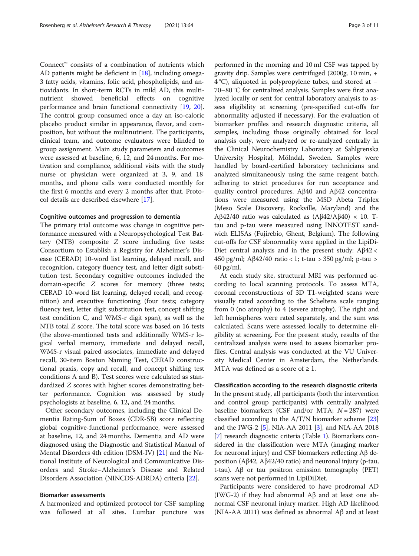Connect™ consists of a combination of nutrients which AD patients might be deficient in [[18\]](#page-10-0), including omega-3 fatty acids, vitamins, folic acid, phospholipids, and antioxidants. In short-term RCTs in mild AD, this multinutrient showed beneficial effects on cognitive performance and brain functional connectivity [\[19](#page-10-0), [20](#page-10-0)]. The control group consumed once a day an iso-caloric placebo product similar in appearance, flavor, and composition, but without the multinutrient. The participants, clinical team, and outcome evaluators were blinded to group assignment. Main study parameters and outcomes were assessed at baseline, 6, 12, and 24 months. For motivation and compliance, additional visits with the study nurse or physician were organized at 3, 9, and 18 months, and phone calls were conducted monthly for the first 6 months and every 2 months after that. Protocol details are described elsewhere [[17\]](#page-10-0).

#### Cognitive outcomes and progression to dementia

The primary trial outcome was change in cognitive performance measured with a Neuropsychological Test Battery (NTB) composite Z score including five tests: Consortium to Establish a Registry for Alzheimer's Disease (CERAD) 10-word list learning, delayed recall, and recognition, category fluency test, and letter digit substitution test. Secondary cognitive outcomes included the domain-specific Z scores for memory (three tests; CERAD 10-word list learning, delayed recall, and recognition) and executive functioning (four tests; category fluency test, letter digit substitution test, concept shifting test condition C, and WMS-r digit span), as well as the NTB total Z score. The total score was based on 16 tests (the above-mentioned tests and additionally WMS-r logical verbal memory, immediate and delayed recall, WMS-r visual paired associates, immediate and delayed recall, 30-item Boston Naming Test, CERAD constructional praxis, copy and recall, and concept shifting test conditions A and B). Test scores were calculated as standardized Z scores with higher scores demonstrating better performance. Cognition was assessed by study psychologists at baseline, 6, 12, and 24 months.

Other secondary outcomes, including the Clinical Dementia Rating-Sum of Boxes (CDR-SB) score reflecting global cognitive-functional performance, were assessed at baseline, 12, and 24 months. Dementia and AD were diagnosed using the Diagnostic and Statistical Manual of Mental Disorders 4th edition (DSM-IV) [[21](#page-10-0)] and the National Institute of Neurological and Communicative Disorders and Stroke–Alzheimer's Disease and Related Disorders Association (NINCDS-ADRDA) criteria [\[22](#page-10-0)].

# Biomarker assessments

A harmonized and optimized protocol for CSF sampling was followed at all sites. Lumbar puncture was

performed in the morning and 10 ml CSF was tapped by gravity drip. Samples were centrifuged (2000g, 10 min, + 4 °C), aliquoted in polypropylene tubes, and stored at − 70–80 °C for centralized analysis. Samples were first analyzed locally or sent for central laboratory analysis to assess eligibility at screening (pre-specified cut-offs for abnormality adjusted if necessary). For the evaluation of biomarker profiles and research diagnostic criteria, all samples, including those originally obtained for local analysis only, were analyzed or re-analyzed centrally in the Clinical Neurochemistry Laboratory at Sahlgrenska University Hospital, Mölndal, Sweden. Samples were handled by board-certified laboratory technicians and analyzed simultaneously using the same reagent batch, adhering to strict procedures for run acceptance and quality control procedures. Aβ40 and Aβ42 concentrations were measured using the MSD Abeta Triplex (Meso Scale Discovery, Rockville, Maryland) and the Aβ42/40 ratio was calculated as  $(A\beta 42/A\beta 40) \times 10$ . Ttau and p-tau were measured using INNOTEST sandwich ELISAs (Fujirebio, Ghent, Belgium). The following cut-offs for CSF abnormality were applied in the LipiDi-Diet central analysis and in the present study: Aβ42 < 450 pg/ml; Aβ42/40 ratio < 1; t-tau > 350 pg/ml; p-tau > 60 pg/ml.

At each study site, structural MRI was performed according to local scanning protocols. To assess MTA, coronal reconstructions of 3D T1-weighted scans were visually rated according to the Scheltens scale ranging from 0 (no atrophy) to 4 (severe atrophy). The right and left hemispheres were rated separately, and the sum was calculated. Scans were assessed locally to determine eligibility at screening. For the present study, results of the centralized analysis were used to assess biomarker profiles. Central analysis was conducted at the VU University Medical Center in Amsterdam, the Netherlands. MTA was defined as a score of  $\geq 1$ .

Classification according to the research diagnostic criteria In the present study, all participants (both the intervention and control group participants) with centrally analyzed baseline biomarkers (CSF and/or MTA;  $N = 287$ ) were classified according to the A/T/N biomarker scheme [[23](#page-10-0)] and the IWG-2 [\[5](#page-9-0)], NIA-AA 2011 [\[3\]](#page-9-0), and NIA-AA 2018 [[7\]](#page-10-0) research diagnostic criteria (Table [1](#page-3-0)). Biomarkers considered in the classification were MTA (imaging marker for neuronal injury) and CSF biomarkers reflecting Aβ deposition (Aβ42, Aβ42/40 ratio) and neuronal injury (p-tau, t-tau). Aβ or tau positron emission tomography (PET) scans were not performed in LipiDiDiet.

Participants were considered to have prodromal AD (IWG-2) if they had abnormal Aβ and at least one abnormal CSF neuronal injury marker. High AD likelihood (NIA-AA 2011) was defined as abnormal Aβ and at least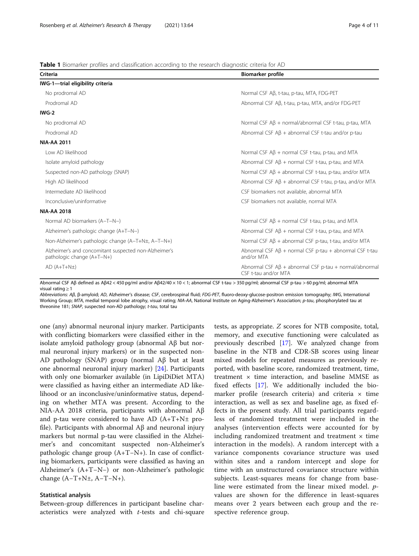<span id="page-3-0"></span>Table 1 Biomarker profiles and classification according to the research diagnostic criteria for AD

| Criteria                                                                            | <b>Biomarker profile</b>                                                                  |
|-------------------------------------------------------------------------------------|-------------------------------------------------------------------------------------------|
| IWG-1-trial eligibility criteria                                                    |                                                                                           |
| No prodromal AD                                                                     | Normal CSF Aβ, t-tau, p-tau, MTA, FDG-PET                                                 |
| Prodromal AD                                                                        | Abnormal CSF Aβ, t-tau, p-tau, MTA, and/or FDG-PET                                        |
| $IWG-2$                                                                             |                                                                                           |
| No prodromal AD                                                                     | Normal CSF $\mathsf{A}\mathsf{B}$ + normal/abnormal CSF t-tau, p-tau, MTA                 |
| Prodromal AD                                                                        | Abnormal CSF $AB + abnormal CSF$ t-tau and/or p-tau                                       |
| <b>NIA-AA 2011</b>                                                                  |                                                                                           |
| Low AD likelihood                                                                   | Normal CSF $A\beta$ + normal CSF t-tau, p-tau, and MTA                                    |
| Isolate amyloid pathology                                                           | Abnormal CSF $\overline{AB}$ + normal CSF t-tau, p-tau, and MTA                           |
| Suspected non-AD pathology (SNAP)                                                   | Normal CSF $AB + abnormal CSF$ t-tau, p-tau, and/or MTA                                   |
| High AD likelihood                                                                  | Abnormal CSF $AB + abnormal CSF$ t-tau, p-tau, and/or MTA                                 |
| Intermediate AD likelihood                                                          | CSF biomarkers not available, abnormal MTA                                                |
| Inconclusive/uninformative                                                          | CSF biomarkers not available, normal MTA                                                  |
| <b>NIA-AA 2018</b>                                                                  |                                                                                           |
| Normal AD biomarkers (A-T-N-)                                                       | Normal CSF $A\beta$ + normal CSF t-tau, p-tau, and MTA                                    |
| Alzheimer's pathologic change (A+T-N-)                                              | Abnormal CSF $\mathsf{A}\mathsf{B}$ + normal CSF t-tau, p-tau, and MTA                    |
| Non-Alzheimer's pathologic change (A-T+N±, A-T-N+)                                  | Normal CSF $\mathsf{AB}$ + abnormal CSF p-tau, t-tau, and/or MTA                          |
| Alzheimer's and concomitant suspected non-Alzheimer's<br>pathologic change (A+T-N+) | Abnormal CSF $\mathsf{A}\mathsf{B}$ + normal CSF p-tau + abnormal CSF t-tau<br>and/or MTA |
| $AD(A+T+N\pm)$                                                                      | Abnormal CSF $A\beta$ + abnormal CSF p-tau + normal/abnormal<br>CSF t-tau and/or MTA      |

Abnormal CSF Aβ defined as Aβ42 < 450 pg/ml and/or Aβ42/40 × 10 < 1; abnormal CSF t-tau > 350 pg/ml; abnormal CSF p-tau > 60 pg/ml; abnormal MTA visual rating ≥ 1

Abbreviations: Aβ, β-amyloid; AD, Alzheimer's disease; CSF, cerebrospinal fluid; FDG-PET, fluoro-deoxy-glucose-positron emission tomography; IWG, International Working Group; MTA, medial temporal lobe atrophy, visual rating; NIA-AA, National Institute on Aging-Alzheimer's Association; p-tau, phosphorylated tau at threonine 181; SNAP, suspected non-AD pathology; t-tau, total tau

one (any) abnormal neuronal injury marker. Participants with conflicting biomarkers were classified either in the isolate amyloid pathology group (abnormal Aβ but normal neuronal injury markers) or in the suspected non-AD pathology (SNAP) group (normal Aβ but at least one abnormal neuronal injury marker) [[24](#page-10-0)]. Participants with only one biomarker available (in LipiDiDiet MTA) were classified as having either an intermediate AD likelihood or an inconclusive/uninformative status, depending on whether MTA was present. According to the NIA-AA 2018 criteria, participants with abnormal Aβ and p-tau were considered to have AD (A+T+N± profile). Participants with abnormal Aβ and neuronal injury markers but normal p-tau were classified in the Alzheimer's and concomitant suspected non-Alzheimer's pathologic change group (A+T−N+). In case of conflicting biomarkers, participants were classified as having an Alzheimer's (A+T−N−) or non-Alzheimer's pathologic change (A−T+N±, A−T−N+).

#### Statistical analysis

Between-group differences in participant baseline characteristics were analyzed with t-tests and chi-square

tests, as appropriate. Z scores for NTB composite, total, memory, and executive functioning were calculated as previously described [[17](#page-10-0)]. We analyzed change from baseline in the NTB and CDR-SB scores using linear mixed models for repeated measures as previously reported, with baseline score, randomized treatment, time, treatment  $\times$  time interaction, and baseline MMSE as fixed effects [\[17\]](#page-10-0). We additionally included the biomarker profile (research criteria) and criteria  $\times$  time interaction, as well as sex and baseline age, as fixed effects in the present study. All trial participants regardless of randomized treatment were included in the analyses (intervention effects were accounted for by including randomized treatment and treatment  $\times$  time interaction in the models). A random intercept with a variance components covariance structure was used within sites and a random intercept and slope for time with an unstructured covariance structure within subjects. Least-squares means for change from baseline were estimated from the linear mixed model. pvalues are shown for the difference in least-squares means over 2 years between each group and the respective reference group.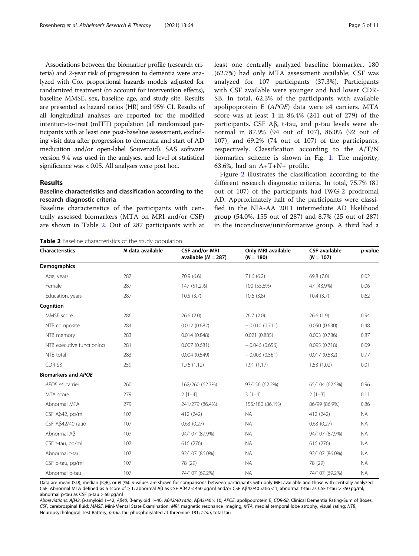Associations between the biomarker profile (research criteria) and 2-year risk of progression to dementia were analyzed with Cox proportional hazards models adjusted for randomized treatment (to account for intervention effects), baseline MMSE, sex, baseline age, and study site. Results are presented as hazard ratios (HR) and 95% CI. Results of all longitudinal analyses are reported for the modified intention-to-treat (mITT) population (all randomized participants with at least one post-baseline assessment, excluding visit data after progression to dementia and start of AD medication and/or open-label Souvenaid). SAS software version 9.4 was used in the analyses, and level of statistical significance was < 0.05. All analyses were post hoc.

# Results

# Baseline characteristics and classification according to the research diagnostic criteria

Baseline characteristics of the participants with centrally assessed biomarkers (MTA on MRI and/or CSF) are shown in Table 2. Out of 287 participants with at least one centrally analyzed baseline biomarker, 180 (62.7%) had only MTA assessment available; CSF was analyzed for 107 participants (37.3%). Participants with CSF available were younger and had lower CDR-SB. In total, 62.3% of the participants with available apolipoprotein E (APOE) data were <sup>ε</sup>4 carriers. MTA score was at least 1 in 86.4% (241 out of 279) of the participants. CSF Aβ, t-tau, and p-tau levels were abnormal in 87.9% (94 out of 107), 86.0% (92 out of 107), and 69.2% (74 out of 107) of the participants, respectively. Classification according to the A/T/N biomarker scheme is shown in Fig. [1](#page-5-0). The majority, 63.6%, had an  $A+T+N+$  profile.

Figure [2](#page-6-0) illustrates the classification according to the different research diagnostic criteria. In total, 75.7% (81 out of 107) of the participants had IWG-2 prodromal AD. Approximately half of the participants were classified in the NIA-AA 2011 intermediate AD likelihood group (54.0%, 155 out of 287) and 8.7% (25 out of 287) in the inconclusive/uninformative group. A third had a

Table 2 Baseline characteristics of the study population

| <b>Characteristics</b>     | N data available | <b>CSF and/or MRI</b><br>available $(N = 287)$ | Only MRI available<br>$(N = 180)$ | <b>CSF</b> available<br>$(N = 107)$ | p-value   |  |
|----------------------------|------------------|------------------------------------------------|-----------------------------------|-------------------------------------|-----------|--|
| Demographics               |                  |                                                |                                   |                                     |           |  |
| Age, years                 | 287              | 70.9(6.6)                                      | 71.6(6.2)                         | 69.8 (7.0)                          | 0.02      |  |
| Female                     | 287              | 147 (51.2%)                                    | 100 (55.6%)                       | 47 (43.9%)                          | 0.06      |  |
| Education, years           | 287              | 10.5(3.7)                                      | 10.6(3.8)                         | 10.4(3.7)                           | 0.62      |  |
| Cognition                  |                  |                                                |                                   |                                     |           |  |
| MMSE score                 | 286              | 26.6(2.0)                                      | 26.7(2.0)                         | 26.6(1.9)                           | 0.94      |  |
| NTB composite              | 284              | 0.012(0.682)                                   | $-0.010(0.711)$                   | 0.050(0.630)                        | 0.48      |  |
| NTB memory                 | 283              | 0.014(0.848)                                   | 0.021(0.885)                      | 0.003(0.786)                        | 0.87      |  |
| NTB executive functioning  | 281              | 0.007(0.681)                                   | $-0.046(0.656)$                   | 0.095(0.718)                        | 0.09      |  |
| NTB total                  | 283              | 0.004(0.549)                                   | $-0.003(0.561)$                   | 0.017(0.532)                        | 0.77      |  |
| CDR-SB                     | 259              | 1.76(1.12)                                     | 1.91(1.17)                        | 1.53(1.02)                          | 0.01      |  |
| <b>Biomarkers and APOE</b> |                  |                                                |                                   |                                     |           |  |
| APOE $\epsilon$ 4 carrier  | 260              | 162/260 (62.3%)                                | 97/156 (62.2%)                    | 65/104 (62.5%)                      | 0.96      |  |
| MTA score                  | 279              | $2[1-4]$                                       | $3[1-4]$                          | $2[1-3]$                            | 0.11      |  |
| Abnormal MTA               | 279              | 241/279 (86.4%)                                | 155/180 (86.1%)                   | 86/99 (86.9%)                       | 0.86      |  |
| $CSF A\beta42$ , pg/ml     | 107              | 412 (242)                                      | <b>NA</b>                         | 412 (242)                           | <b>NA</b> |  |
| CSF Aß42/40 ratio          | 107              | 0.63(0.27)                                     | <b>NA</b>                         | 0.63(0.27)                          | <b>NA</b> |  |
| Abnormal A <sub>B</sub>    | 107              | 94/107 (87.9%)                                 | <b>NA</b>                         | 94/107 (87.9%)                      | <b>NA</b> |  |
| CSF t-tau, pg/ml           | 107              | 616 (276)                                      | <b>NA</b>                         | 616 (276)                           | <b>NA</b> |  |
| Abnormal t-tau             | 107              | 92/107 (86.0%)                                 | <b>NA</b>                         | 92/107 (86.0%)                      | <b>NA</b> |  |
| CSF p-tau, pg/ml           | 107              | 78 (29)                                        | <b>NA</b>                         | 78 (29)                             | <b>NA</b> |  |
| Abnormal p-tau             | 107              | 74/107 (69.2%)                                 | <b>NA</b>                         | 74/107 (69.2%)                      | <b>NA</b> |  |

Data are mean (SD), median [IQR], or N (%). p-values are shown for comparisons between participants with only MRI available and those with centrally analyzed CSF. Abnormal MTA defined as a score of ≥ 1; abnormal Aβ as CSF Aβ42 < 450 pg/ml and/or CSF Aβ42/40 ratio < 1; abnormal t-tau as CSF t-tau > 350 pg/ml; abnormal p-tau as CSF p-tau > 60 pg/ml

Abbreviations: Aβ42, β-amyloid 1–42; Aβ40, β-amyloid 1–40; Aβ42/40 ratio, Aβ42/40 × 10; APOE, apolipoprotein E; CDR-SB, Clinical Dementia Rating-Sum of Boxes; CSF, cerebrospinal fluid; MMSE, Mini-Mental State Examination; MRI, magnetic resonance imaging; MTA, medial temporal lobe atrophy, visual rating; NTB, Neuropsychological Test Battery; p-tau, tau phosphorylated at threonine 181; t-tau, total tau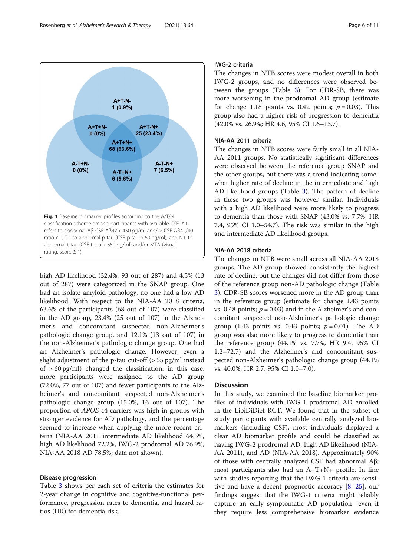<span id="page-5-0"></span>

high AD likelihood (32.4%, 93 out of 287) and 4.5% (13 out of 287) were categorized in the SNAP group. One had an isolate amyloid pathology; no one had a low AD likelihood. With respect to the NIA-AA 2018 criteria, 63.6% of the participants (68 out of 107) were classified in the AD group, 23.4% (25 out of 107) in the Alzheimer's and concomitant suspected non-Alzheimer's pathologic change group, and 12.1% (13 out of 107) in the non-Alzheimer's pathologic change group. One had an Alzheimer's pathologic change. However, even a slight adjustment of the p-tau cut-off (> 55 pg/ml instead of  $> 60 \text{ pg/ml}$  changed the classification: in this case, more participants were assigned to the AD group (72.0%, 77 out of 107) and fewer participants to the Alzheimer's and concomitant suspected non-Alzheimer's pathologic change group (15.0%, 16 out of 107). The proportion of APOE <sup>ε</sup>4 carriers was high in groups with stronger evidence for AD pathology, and the percentage seemed to increase when applying the more recent criteria (NIA-AA 2011 intermediate AD likelihood 64.5%, high AD likelihood 72.2%, IWG-2 prodromal AD 76.9%, NIA-AA 2018 AD 78.5%; data not shown).

#### Disease progression

Table [3](#page-7-0) shows per each set of criteria the estimates for 2-year change in cognitive and cognitive-functional performance, progression rates to dementia, and hazard ratios (HR) for dementia risk.

# IWG-2 criteria

The changes in NTB scores were modest overall in both IWG-2 groups, and no differences were observed between the groups (Table [3\)](#page-7-0). For CDR-SB, there was more worsening in the prodromal AD group (estimate for change 1.18 points vs. 0.42 points;  $p = 0.03$ ). This group also had a higher risk of progression to dementia (42.0% vs. 26.9%; HR 4.6, 95% CI 1.6–13.7).

# NIA-AA 2011 criteria

The changes in NTB scores were fairly small in all NIA-AA 2011 groups. No statistically significant differences were observed between the reference group SNAP and the other groups, but there was a trend indicating somewhat higher rate of decline in the intermediate and high AD likelihood groups (Table [3](#page-7-0)). The pattern of decline in these two groups was however similar. Individuals with a high AD likelihood were more likely to progress to dementia than those with SNAP (43.0% vs. 7.7%; HR 7.4, 95% CI 1.0–54.7). The risk was similar in the high and intermediate AD likelihood groups.

#### NIA-AA 2018 criteria

The changes in NTB were small across all NIA-AA 2018 groups. The AD group showed consistently the highest rate of decline, but the changes did not differ from those of the reference group non-AD pathologic change (Table [3\)](#page-7-0). CDR-SB scores worsened more in the AD group than in the reference group (estimate for change 1.43 points vs. 0.48 points;  $p = 0.03$ ) and in the Alzheimer's and concomitant suspected non-Alzheimer's pathologic change group (1.43 points vs. 0.43 points;  $p = 0.01$ ). The AD group was also more likely to progress to dementia than the reference group (44.1% vs. 7.7%, HR 9.4, 95% CI 1.2–72.7) and the Alzheimer's and concomitant suspected non-Alzheimer's pathologic change group (44.1% vs. 40.0%, HR 2.7, 95% CI 1.0–7.0).

# **Discussion**

In this study, we examined the baseline biomarker profiles of individuals with IWG-1 prodromal AD enrolled in the LipiDiDiet RCT. We found that in the subset of study participants with available centrally analyzed biomarkers (including CSF), most individuals displayed a clear AD biomarker profile and could be classified as having IWG-2 prodromal AD, high AD likelihood (NIA-AA 2011), and AD (NIA-AA 2018). Approximately 90% of those with centrally analyzed CSF had abnormal Aβ; most participants also had an A+T+N+ profile. In line with studies reporting that the IWG-1 criteria are sensitive and have a decent prognostic accuracy [\[8](#page-10-0), [25](#page-10-0)], our findings suggest that the IWG-1 criteria might reliably capture an early symptomatic AD population—even if they require less comprehensive biomarker evidence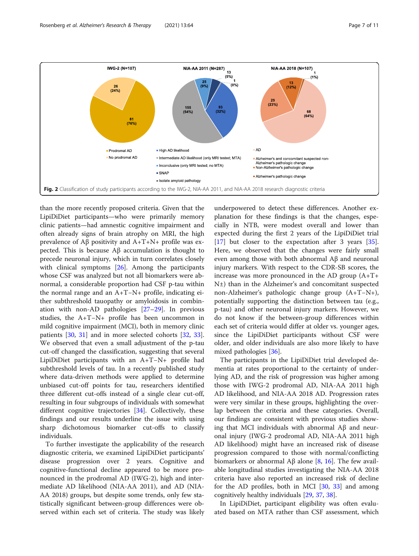<span id="page-6-0"></span>

than the more recently proposed criteria. Given that the LipiDiDiet participants—who were primarily memory clinic patients—had amnestic cognitive impairment and often already signs of brain atrophy on MRI, the high prevalence of Aβ positivity and A+T+N+ profile was expected. This is because Aβ accumulation is thought to precede neuronal injury, which in turn correlates closely with clinical symptoms [\[26](#page-10-0)]. Among the participants whose CSF was analyzed but not all biomarkers were abnormal, a considerable proportion had CSF p-tau within the normal range and an A+T−N+ profile, indicating either subthreshold tauopathy or amyloidosis in combination with non-AD pathologies [[27](#page-10-0)–[29](#page-10-0)]. In previous studies, the A+T−N+ profile has been uncommon in mild cognitive impairment (MCI), both in memory clinic patients [[30,](#page-10-0) [31\]](#page-10-0) and in more selected cohorts [\[32](#page-10-0), [33](#page-10-0)]. We observed that even a small adjustment of the p-tau cut-off changed the classification, suggesting that several LipiDiDiet participants with an A+T−N+ profile had subthreshold levels of tau. In a recently published study where data-driven methods were applied to determine unbiased cut-off points for tau, researchers identified three different cut-offs instead of a single clear cut-off, resulting in four subgroups of individuals with somewhat different cognitive trajectories [[34](#page-10-0)]. Collectively, these findings and our results underline the issue with using sharp dichotomous biomarker cut-offs to classify individuals.

To further investigate the applicability of the research diagnostic criteria, we examined LipiDiDiet participants' disease progression over 2 years. Cognitive and cognitive-functional decline appeared to be more pronounced in the prodromal AD (IWG-2), high and intermediate AD likelihood (NIA-AA 2011), and AD (NIA-AA 2018) groups, but despite some trends, only few statistically significant between-group differences were observed within each set of criteria. The study was likely underpowered to detect these differences. Another explanation for these findings is that the changes, especially in NTB, were modest overall and lower than expected during the first 2 years of the LipiDiDiet trial [[17\]](#page-10-0) but closer to the expectation after 3 years [\[35](#page-10-0)]. Here, we observed that the changes were fairly small even among those with both abnormal Aβ and neuronal injury markers. With respect to the CDR-SB scores, the increase was more pronounced in the AD group (A+T+ N±) than in the Alzheimer's and concomitant suspected non-Alzheimer's pathologic change group (A+T−N+), potentially supporting the distinction between tau (e.g., p-tau) and other neuronal injury markers. However, we do not know if the between-group differences within each set of criteria would differ at older vs. younger ages, since the LipiDiDiet participants without CSF were older, and older individuals are also more likely to have mixed pathologies [\[36](#page-10-0)].

The participants in the LipiDiDiet trial developed dementia at rates proportional to the certainty of underlying AD, and the risk of progression was higher among those with IWG-2 prodromal AD, NIA-AA 2011 high AD likelihood, and NIA-AA 2018 AD. Progression rates were very similar in these groups, highlighting the overlap between the criteria and these categories. Overall, our findings are consistent with previous studies showing that MCI individuals with abnormal  $Aβ$  and neuronal injury (IWG-2 prodromal AD, NIA-AA 2011 high AD likelihood) might have an increased risk of disease progression compared to those with normal/conflicting biomarkers or abnormal Aβ alone [\[8](#page-10-0), [16](#page-10-0)]. The few available longitudinal studies investigating the NIA-AA 2018 criteria have also reported an increased risk of decline for the AD profiles, both in MCI [[30,](#page-10-0) [33](#page-10-0)] and among cognitively healthy individuals [\[29,](#page-10-0) [37,](#page-10-0) [38\]](#page-10-0).

In LipiDiDiet, participant eligibility was often evaluated based on MTA rather than CSF assessment, which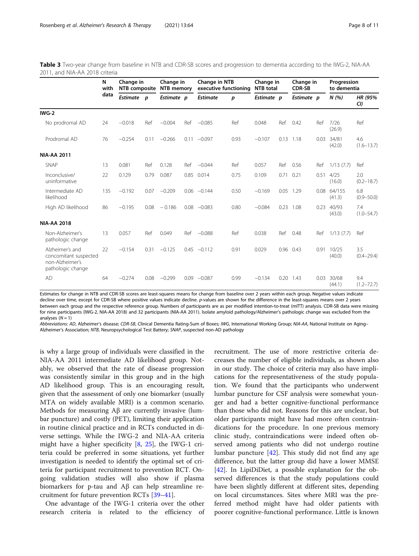<span id="page-7-0"></span>Table 3 Two-year change from baseline in NTB and CDR-SB scores and progression to dementia according to the IWG-2, NIA-AA 2011, and NIA-AA 2018 criteria

|                                                                                  | N<br>with<br>data | Change in<br>NTB composite |      | Change in<br>NTB memory |      | Change in NTB<br>executive functioning |      | Change in<br><b>NTB</b> total |      | Change in<br><b>CDR-SB</b> |      | Progression<br>to dementia |                       |
|----------------------------------------------------------------------------------|-------------------|----------------------------|------|-------------------------|------|----------------------------------------|------|-------------------------------|------|----------------------------|------|----------------------------|-----------------------|
|                                                                                  |                   | Estimate p                 |      | Estimate p              |      | <b>Estimate</b>                        | p    | Estimate p                    |      | Estimate p                 |      | N(%)                       | HR (95%<br>CI)        |
| IWG-2                                                                            |                   |                            |      |                         |      |                                        |      |                               |      |                            |      |                            |                       |
| No prodromal AD                                                                  | 24                | $-0.018$                   | Ref  | $-0.004$                | Ref  | $-0.085$                               | Ref  | 0.048                         | Ref  | 0.42                       | Ref  | 7/26<br>(26.9)             | Ref                   |
| Prodromal AD                                                                     | 76                | $-0.254$                   | 0.11 | $-0.266$                | 0.11 | $-0.097$                               | 0.93 | $-0.107$                      |      | $0.13$ 1.18                | 0.03 | 34/81<br>(42.0)            | 4.6<br>$(1.6 - 13.7)$ |
| <b>NIA-AA 2011</b>                                                               |                   |                            |      |                         |      |                                        |      |                               |      |                            |      |                            |                       |
| <b>SNAP</b>                                                                      | 13                | 0.081                      | Ref  | 0.128                   | Ref  | $-0.044$                               | Ref  | 0.057                         | Ref  | 0.56                       | Ref  | 1/13(7.7)                  | Ref                   |
| Inconclusive/<br>uninformative                                                   | 22                | 0.129                      | 0.79 | 0.087                   | 0.85 | 0.014                                  | 0.75 | 0.109                         | 0.71 | 0.21                       | 0.51 | 4/25<br>(16.0)             | 2.0<br>$(0.2 - 18.7)$ |
| Intermediate AD<br>likelihood                                                    | 135               | $-0.192$                   | 0.07 | $-0.209$                |      | $0.06 - 0.144$                         | 0.50 | $-0.169$                      |      | 0.05 1.29                  | 0.08 | 64/155<br>(41.3)           | 6.8<br>$(0.9 - 50.0)$ |
| High AD likelihood                                                               | 86                | $-0.195$                   | 0.08 | $-0.186$                | 0.08 | $-0.083$                               | 0.80 | $-0.084$                      | 0.23 | 1.08                       | 0.23 | 40/93<br>(43.0)            | 7.4<br>$(1.0 - 54.7)$ |
| <b>NIA-AA 2018</b>                                                               |                   |                            |      |                         |      |                                        |      |                               |      |                            |      |                            |                       |
| Non-Alzheimer's<br>pathologic change                                             | 13                | 0.057                      | Ref  | 0.049                   | Ref  | $-0.088$                               | Ref  | 0.038                         | Ref  | 0.48                       | Ref  | 1/13(7.7)                  | Ref                   |
| Alzheimer's and<br>concomitant suspected<br>non-Alzheimer's<br>pathologic change | 22                | $-0.154$                   | 0.31 | $-0.125$                |      | $0.45 -0.112$                          | 0.91 | 0.029                         |      | 0.96 0.43                  | 0.91 | 10/25<br>(40.0)            | 3.5<br>$(0.4 - 29.4)$ |
| AD                                                                               | 64                | $-0.274$                   | 0.08 | $-0.299$                | 0.09 | $-0.087$                               | 0.99 | $-0.134$                      | 0.20 | 1.43                       | 0.03 | 30/68<br>(44.1)            | 9.4<br>$(1.2 - 72.7)$ |

Estimates for change in NTB and CDR-SB scores are least-squares means for change from baseline over 2 years within each group. Negative values indicate decline over time, except for CDR-SB where positive values indicate decline. p-values are shown for the difference in the least-squares means over 2 years between each group and the respective reference group. Numbers of participants are as per modified intention-to-treat (mITT) analysis. CDR-SB data were missing for nine participants (IWG-2, NIA-AA 2018) and 32 participants (NIA-AA 2011). Isolate amyloid pathology/Alzheimer's pathologic change was excluded from the analyses  $(N = 1)$ 

Abbreviations: AD, Alzheimer's disease; CDR-SB, Clinical Dementia Rating-Sum of Boxes; IWG, International Working Group; NIA-AA, National Institute on Aging– Alzheimer's Association; NTB, Neuropsychological Test Battery; SNAP, suspected non-AD pathology

is why a large group of individuals were classified in the NIA-AA 2011 intermediate AD likelihood group. Notably, we observed that the rate of disease progression was consistently similar in this group and in the high AD likelihood group. This is an encouraging result, given that the assessment of only one biomarker (usually MTA on widely available MRI) is a common scenario. Methods for measuring Aβ are currently invasive (lumbar puncture) and costly (PET), limiting their application in routine clinical practice and in RCTs conducted in diverse settings. While the IWG-2 and NIA-AA criteria might have a higher specificity [[8,](#page-10-0) [25](#page-10-0)], the IWG-1 criteria could be preferred in some situations, yet further investigation is needed to identify the optimal set of criteria for participant recruitment to prevention RCT. Ongoing validation studies will also show if plasma biomarkers for p-tau and Aβ can help streamline recruitment for future prevention RCTs [\[39](#page-10-0)–[41\]](#page-10-0).

One advantage of the IWG-1 criteria over the other research criteria is related to the efficiency of

recruitment. The use of more restrictive criteria decreases the number of eligible individuals, as shown also in our study. The choice of criteria may also have implications for the representativeness of the study population. We found that the participants who underwent lumbar puncture for CSF analysis were somewhat younger and had a better cognitive-functional performance than those who did not. Reasons for this are unclear, but older participants might have had more often contraindications for the procedure. In one previous memory clinic study, contraindications were indeed often observed among patients who did not undergo routine lumbar puncture [[42](#page-10-0)]. This study did not find any age difference, but the latter group did have a lower MMSE [[42\]](#page-10-0). In LipiDiDiet, a possible explanation for the observed differences is that the study populations could have been slightly different at different sites, depending on local circumstances. Sites where MRI was the preferred method might have had older patients with poorer cognitive-functional performance. Little is known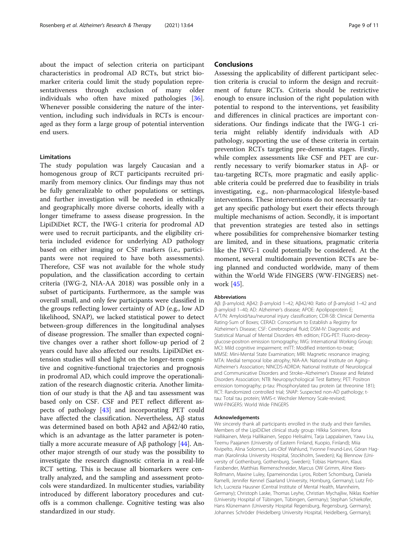about the impact of selection criteria on participant characteristics in prodromal AD RCTs, but strict biomarker criteria could limit the study population representativeness through exclusion of many older individuals who often have mixed pathologies [\[36](#page-10-0)]. Whenever possible considering the nature of the intervention, including such individuals in RCTs is encouraged as they form a large group of potential intervention end users.

#### Limitations

The study population was largely Caucasian and a homogenous group of RCT participants recruited primarily from memory clinics. Our findings may thus not be fully generalizable to other populations or settings, and further investigation will be needed in ethnically and geographically more diverse cohorts, ideally with a longer timeframe to assess disease progression. In the LipiDiDiet RCT, the IWG-1 criteria for prodromal AD were used to recruit participants, and the eligibility criteria included evidence for underlying AD pathology based on either imaging or CSF markers (i.e., participants were not required to have both assessments). Therefore, CSF was not available for the whole study population, and the classification according to certain criteria (IWG-2, NIA-AA 2018) was possible only in a subset of participants. Furthermore, as the sample was overall small, and only few participants were classified in the groups reflecting lower certainty of AD (e.g., low AD likelihood, SNAP), we lacked statistical power to detect between-group differences in the longitudinal analyses of disease progression. The smaller than expected cognitive changes over a rather short follow-up period of 2 years could have also affected our results. LipiDiDiet extension studies will shed light on the longer-term cognitive and cognitive-functional trajectories and prognosis in prodromal AD, which could improve the operationalization of the research diagnostic criteria. Another limitation of our study is that the  $Aβ$  and tau assessment was based only on CSF. CSF and PET reflect different aspects of pathology [\[43\]](#page-10-0) and incorporating PET could have affected the classification. Nevertheless, Aβ status was determined based on both Aβ42 and Aβ42/40 ratio, which is an advantage as the latter parameter is potentially a more accurate measure of  $A\beta$  pathology [[44](#page-10-0)]. Another major strength of our study was the possibility to investigate the research diagnostic criteria in a real-life RCT setting. This is because all biomarkers were centrally analyzed, and the sampling and assessment protocols were standardized. In multicenter studies, variability introduced by different laboratory procedures and cutoffs is a common challenge. Cognitive testing was also standardized in our study.

### **Conclusions**

Assessing the applicability of different participant selection criteria is crucial to inform the design and recruitment of future RCTs. Criteria should be restrictive enough to ensure inclusion of the right population with potential to respond to the interventions, yet feasibility and differences in clinical practices are important considerations. Our findings indicate that the IWG-1 criteria might reliably identify individuals with AD pathology, supporting the use of these criteria in certain prevention RCTs targeting pre-dementia stages. Firstly, while complex assessments like CSF and PET are currently necessary to verify biomarker status in Aβ- or tau-targeting RCTs, more pragmatic and easily applicable criteria could be preferred due to feasibility in trials investigating, e.g., non-pharmacological lifestyle-based interventions. These interventions do not necessarily target any specific pathology but exert their effects through multiple mechanisms of action. Secondly, it is important that prevention strategies are tested also in settings where possibilities for comprehensive biomarker testing are limited, and in these situations, pragmatic criteria like the IWG-1 could potentially be considered. At the moment, several multidomain prevention RCTs are being planned and conducted worldwide, many of them within the World Wide FINGERS (WW-FINGERS) network [\[45](#page-10-0)].

#### Abbreviations

Aβ: β-amyloid; Aβ42: β-amyloid 1–42; Aβ42/40: Ratio of β-amyloid 1–42 and β-amyloid 1–40; AD: Alzheimer's disease; APOE: Apolipoprotein E; A/T/N: Amyloid/tau/neuronal injury classification; CDR-SB: Clinical Dementia Rating-Sum of Boxes; CERAD: Consortium to Establish a Registry for Alzheimer's Disease; CSF: Cerebrospinal fluid; DSM-IV: Diagnostic and Statistical Manual of Mental Disorders 4th edition; FDG-PET: Fluoro-deoxyglucose-positron emission tomography; IWG: International Working Group; MCI: Mild cognitive impairment; mITT: Modified intention-to-treat; MMSE: Mini-Mental State Examination; MRI: Magnetic resonance imaging; MTA: Medial temporal lobe atrophy; NIA-AA: National Institute on Aging– Alzheimer's Association; NINCDS-ADRDA: National Institute of Neurological and Communicative Disorders and Stroke–Alzheimer's Disease and Related Disorders Association; NTB: Neuropsychological Test Battery; PET: Positron emission tomography; p-tau: Phosphorylated tau protein (at threonine 181); RCT: Randomized controlled trial; SNAP: Suspected non-AD pathology; ttau: Total tau protein; WMS-r: Wechsler Memory Scale-revised; WW-FINGERS: World Wide FINGERS

#### Acknowledgements

We sincerely thank all participants enrolled in the study and their families. Members of the LipiDiDiet clinical study group: Hilkka Soininen, Ilona Hallikainen, Merja Hallikainen, Seppo Helisalmi, Tarja Lappalainen, Yawu Liu, Teemu Paajanen (University of Eastern Finland, Kuopio, Finland); Miia Kivipelto, Alina Solomon, Lars-Olof Wahlund, Yvonne Freund-Levi, Göran Hagman (Karolinska University Hospital, Stockholm, Sweden); Kaj Blennow (University of Gothenburg, Gothenburg, Sweden); Tobias Hartmann, Klaus Fassbender, Matthias Riemenschneider, Marcus OW Grimm, Aline Klees-Rollmann, Maxine Luley, Epameinondas Lyros, Robert Schomburg, Daniela Ramelli, Jennifer Kennel (Saarland University, Homburg, Germany); Lutz Frölich, Lucrezia Hausner (Central Institute of Mental Health, Mannheim, Germany); Christoph Laske, Thomas Leyhe, Christian Mychajliw, Niklas Koehler (University Hospital of Tübingen, Tübingen, Germany); Stephan Schiekofer, Hans Klünemann (University Hospital Regensburg, Regensburg, Germany); Johannes Schröder (Heidelberg University Hospital, Heidelberg, Germany);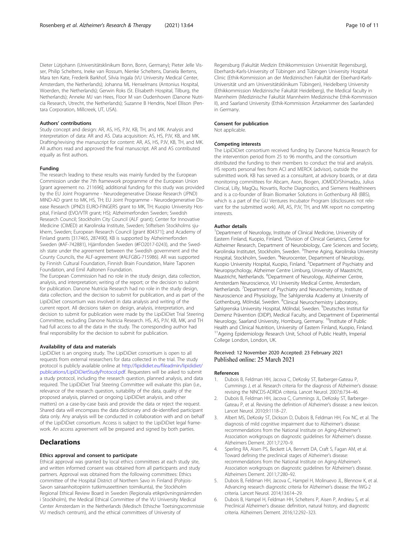<span id="page-9-0"></span>Dieter Lütjohann (Universitätsklinikum Bonn, Bonn, Germany); Pieter Jelle Visser, Philip Scheltens, Ineke van Rossum, Nienke Scheltens, Daniela Bertens, Mara ten Kate, Frederik Barkhof, Silvia Ingala (VU University Medical Center, Amsterdam, the Netherlands); Johanna ML Henselmans (Antonius Hospital, Woerden, the Netherlands); Gerwin Roks (St. Elisabeth Hospital, Tilburg, the Netherlands); Anneke MJ van Hees, Floor M van Oudenhoven (Danone Nutricia Research, Utrecht, the Netherlands); Suzanne B Hendrix, Noel Ellison (Pentara Corporation, Millcreek, UT, USA).

#### Authors' contributions

Study concept and design: AR, AS, HS, PJV, KB, TH, and MK. Analysis and interpretation of data: AR and AS. Data acquisition: AS, HS, PJV, KB, and MK. Drafting/revising the manuscript for content: AR, AS, HS, PJV, KB, TH, and MK. All authors read and approved the final manuscript. AR and AS contributed equally as first authors.

#### Funding

The research leading to these results was mainly funded by the European Commission under the 7th framework programme of the European Union [grant agreement no. 211696]; additional funding for this study was provided by the EU Joint Programme - Neurodegenerative Disease Research (JPND) MIND-AD grant to MK, HS, TH; EU Joint Programme - Neurodegenerative Disease Research (JPND) EURO-FINGERS grant to MK, TH; Kuopio University Hospital, Finland (EVO/VTR grant; HS); Alzheimerfonden Sweden; Swedish Research Council; Stockholm City Council (ALF grant); Center for Innovative Medicine (CIMED) at Karolinska Institute, Sweden; Stiftelsen Stockholms sjukhem, Sweden; European Research Council [grant 804371]; and Academy of Finland grants [317465, 287490]. KB is supported by Alzheimerfonden Sweden (#AF-742881), Hjärnfonden Sweden (#FO2017-0243), and the Swedish state under the agreement between the Swedish government and the County Councils, the ALF-agreement (#ALFGBG-715986). AR was supported by Finnish Cultural Foundation, Finnish Brain Foundation, Maire Taponen Foundation, and Emil Aaltonen Foundation.

The European Commission had no role in the study design, data collection, analysis, and interpretation; writing of the report; or the decision to submit for publication. Danone Nutricia Research had no role in the study design, data collection, and the decision to submit for publication, and as part of the LipiDiDiet consortium was involved in data analysis and writing of the current report. All decisions taken on design, analysis, interpretation, and decision to submit for publication were made by the LipiDiDiet Trial Steering Committee, excluding Danone Nutricia Research. HS, AS, PJV, KB, MK, and TH had full access to all the data in the study. The corresponding author had final responsibility for the decision to submit for publication.

#### Availability of data and materials

LipiDiDiet is an ongoing study. The LipiDiDiet consortium is open to all requests from external researchers for data collected in the trial. The study protocol is publicly available online at [http://lipididiet.eu/fileadmin/lipididiet/](http://lipididiet.eu/fileadmin/lipididiet/publications/LipiDiDietStudyProtocol.pdf) [publications/LipiDiDietStudyProtocol.pdf](http://lipididiet.eu/fileadmin/lipididiet/publications/LipiDiDietStudyProtocol.pdf). Requesters will be asked to submit a study protocol, including the research question, planned analysis, and data required. The LipiDiDiet Trial Steering Committee will evaluate this plan (i.e., relevance of the research question, suitability of the data, quality of the proposed analysis, planned or ongoing LipiDiDiet analysis, and other matters) on a case-by-case basis and provide the data or reject the request. Shared data will encompass the data dictionary and de-identified participant data only. Any analysis will be conducted in collaboration with and on behalf of the LipiDiDiet consortium. Access is subject to the LipiDiDiet legal framework. An access agreement will be prepared and signed by both parties.

#### Declarations

#### Ethics approval and consent to participate

Ethical approval was granted by local ethics committees at each study site, and written informed consent was obtained from all participants and study partners. Approval was obtained from the following committees: Ethics committee of the Hospital District of Northern Savo in Finland (Pohjois-Savon sairaanhoitopiirin tutkimuseettinen toimikunta), the Stockholm Regional Ethical Review Board in Sweden (Regionala etikprövningsnämnden i Stockholm), the Medical Ethical Committee of the VU University Medical Center Amsterdam in the Netherlands (Medisch Ethische Toetsingscommissie VU medisch centrum), and the ethical committees of University of

Regensburg (Fakultät Medizin Ethikkommission Universität Regensburg), Eberhards-Karls-University of Tübingen and Tübingen University Hospital Clinic (Ethik-Kommission an der Medizinischen Fakultät der Eberhard-Karls-Universität und am Universitätsklinikum Tübingen), Heidelberg University (Ethikkommission Medizinische Fakultät Heidelberg), the Medical faculty in Mannheim (Medizinische Fakultät Mannheim Medizinische Ethik-Kommission II), and Saarland University (Ethik-Kommission Ärtzekammer des Saarlandes) in Germany.

#### Consent for publication

Not applicable.

#### Competing interests

The LipiDiDiet consortium received funding by Danone Nutricia Research for the intervention period from 25 to 96 months, and the consortium distributed the funding to their members to conduct the trial and analysis. HS reports personal fees from ACI and MERCK (advisor), outside the submitted work. KB has served as a consultant, at advisory boards, or at data monitoring committees for Abcam, Axon, Biogen, JOMDD/Shimadzu, Julius Clinical, Lilly, MagQu, Novartis, Roche Diagnostics, and Siemens Healthineers and is a co-founder of Brain Biomarker Solutions in Gothenburg AB (BBS), which is a part of the GU Ventures Incubator Program (disclosures not relevant for the submitted work). AR, AS, PJV, TH, and MK report no competing interests.

#### Author details

<sup>1</sup>Department of Neurology, Institute of Clinical Medicine, University of Eastern Finland, Kuopio, Finland. <sup>2</sup> Division of Clinical Geriatrics, Centre for Alzheimer Research, Department of Neurobiology, Care Sciences and Society, Karolinska Institutet, Stockholm, Sweden. <sup>3</sup>Theme Aging, Karolinska University Hospital, Stockholm, Sweden. <sup>4</sup>Neurocenter, Department of Neurology Kuopio University Hospital, Kuopio, Finland. <sup>5</sup>Department of Psychiatry and Neuropsychology, Alzheimer Centre Limburg, University of Maastricht, Maastricht, Netherlands. <sup>6</sup>Department of Neurology, Alzheimer Centre, Amsterdam Neuroscience, VU University Medical Centre, Amsterdam, Netherlands. <sup>7</sup>Department of Psychiatry and Neurochemistry, Institute of Neuroscience and Physiology, The Sahlgrenska Academy at University of Gothenburg, Mölndal, Sweden. <sup>8</sup>Clinical Neurochemistry Laboratory, Sahlgrenska University Hospital, Mölndal, Sweden. <sup>9</sup>Deutsches Institut für Demenz Prävention (DIDP), Medical Faculty, and Department of Experimental Neurology, Saarland University, Homburg, Germany. <sup>10</sup>Institute of Public Health and Clinical Nutrition, University of Eastern Finland, Kuopio, Finland. <sup>11</sup> Ageing Epidemiology Research Unit, School of Public Health, Imperial College London, London, UK.

# Received: 12 November 2020 Accepted: 23 February 2021<br>Published online: 25 March 2021

#### References

- 1. Dubois B, Feldman HH, Jacova C, DeKosky ST, Barberger-Gateau P, Cummings J, et al. Research criteria for the diagnosis of Alzheimer's disease: revising the NINCDS-ADRDA criteria. Lancet Neurol. 2007;6:734–46.
- 2. Dubois B, Feldman HH, Jacova C, Cummings JL, DeKosky ST, Barberger-Gateau P, et al. Revising the definition of Alzheimer's disease: a new lexicon. Lancet Neurol. 2010;9:1118–27.
- 3. Albert MS, DeKosky ST, Dickson D, Dubois B, Feldman HH, Fox NC, et al. The diagnosis of mild cognitive impairment due to Alzheimer's disease: recommendations from the National Institute on Aging-Alzheimer's Association workgroups on diagnostic guidelines for Alzheimer's disease. Alzheimers Dement. 2011;7:270–9.
- 4. Sperling RA, Aisen PS, Beckett LA, Bennett DA, Craft S, Fagan AM, et al. Toward defining the preclinical stages of Alzheimer's disease: recommendations from the National Institute on Aging-Alzheimer's Association workgroups on diagnostic guidelines for Alzheimer's disease. Alzheimers Dement. 2011;7:280–92.
- 5. Dubois B, Feldman HH, Jacova C, Hampel H, Molinuevo JL, Blennow K, et al. Advancing research diagnostic criteria for Alzheimer's disease: the IWG-2 criteria. Lancet Neurol. 2014;13:614–29.
- 6. Dubois B, Hampel H, Feldman HH, Scheltens P, Aisen P, Andrieu S, et al. Preclinical Alzheimer's disease: definition, natural history, and diagnostic criteria. Alzheimers Dement. 2016;12:292–323.